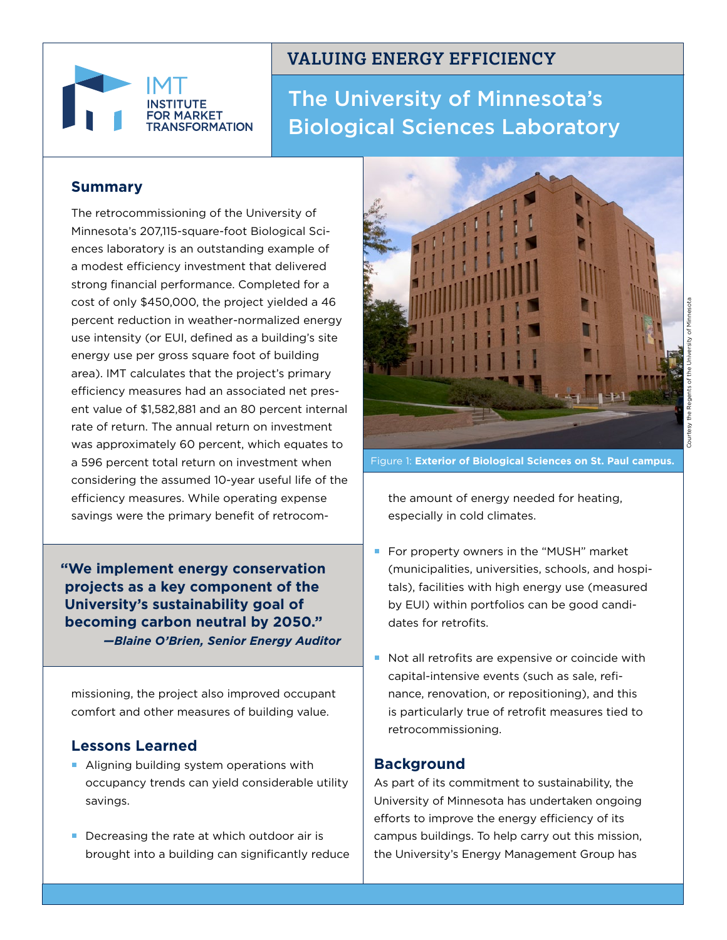

# **VALUING ENERGY EFFICIENCY**

# The University of Minnesota's Biological Sciences Laboratory

## **Summary**

The retrocommissioning of the University of Minnesota's 207,115-square-foot Biological Sciences laboratory is an outstanding example of a modest efficiency investment that delivered strong financial performance. Completed for a cost of only \$450,000, the project yielded a 46 percent reduction in weather-normalized energy use intensity (or EUI, defined as a building's site energy use per gross square foot of building area). IMT calculates that the project's primary efficiency measures had an associated net present value of \$1,582,881 and an 80 percent internal rate of return. The annual return on investment was approximately 60 percent, which equates to a 596 percent total return on investment when considering the assumed 10-year useful life of the efficiency measures. While operating expense savings were the primary benefit of retrocom-

**"We implement energy conservation projects as a key component of the University's sustainability goal of becoming carbon neutral by 2050."** *—Blaine O'Brien, Senior Energy Auditor*

missioning, the project also improved occupant comfort and other measures of building value.

#### **Lessons Learned**

- Aligning building system operations with occupancy trends can yield considerable utility savings.
- Decreasing the rate at which outdoor air is brought into a building can significantly reduce



Figure 1: **Exterior of Biological Sciences on St. Paul campus.**

the amount of energy needed for heating, especially in cold climates.

- For property owners in the "MUSH" market (municipalities, universities, schools, and hospitals), facilities with high energy use (measured by EUI) within portfolios can be good candidates for retrofits.
- Not all retrofits are expensive or coincide with capital-intensive events (such as sale, refinance, renovation, or repositioning), and this is particularly true of retrofit measures tied to retrocommissioning.

## **Background**

As part of its commitment to sustainability, the University of Minnesota has undertaken ongoing efforts to improve the energy efficiency of its campus buildings. To help carry out this mission, the University's Energy Management Group has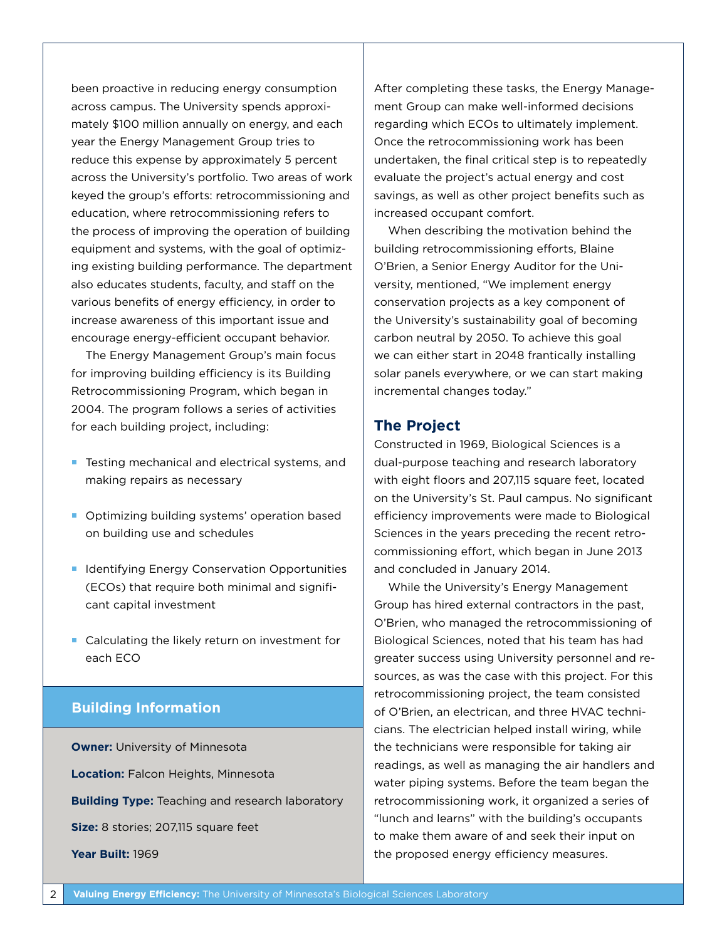been proactive in reducing energy consumption across campus. The University spends approximately \$100 million annually on energy, and each year the Energy Management Group tries to reduce this expense by approximately 5 percent across the University's portfolio. Two areas of work keyed the group's efforts: retrocommissioning and education, where retrocommissioning refers to the process of improving the operation of building equipment and systems, with the goal of optimizing existing building performance. The department also educates students, faculty, and staff on the various benefits of energy efficiency, in order to increase awareness of this important issue and encourage energy-efficient occupant behavior.

The Energy Management Group's main focus for improving building efficiency is its Building Retrocommissioning Program, which began in 2004. The program follows a series of activities for each building project, including:

- **Testing mechanical and electrical systems, and** making repairs as necessary
- **Optimizing building systems' operation based** on building use and schedules
- **In Identifying Energy Conservation Opportunities** (ECOs) that require both minimal and significant capital investment
- **Calculating the likely return on investment for** each ECO

#### **Building Information**

**Owner:** University of Minnesota **Location:** Falcon Heights, Minnesota **Building Type:** Teaching and research laboratory **Size:** 8 stories; 207,115 square feet **Year Built:** 1969

After completing these tasks, the Energy Management Group can make well-informed decisions regarding which ECOs to ultimately implement. Once the retrocommissioning work has been undertaken, the final critical step is to repeatedly evaluate the project's actual energy and cost savings, as well as other project benefits such as increased occupant comfort.

When describing the motivation behind the building retrocommissioning efforts, Blaine O'Brien, a Senior Energy Auditor for the University, mentioned, "We implement energy conservation projects as a key component of the University's sustainability goal of becoming carbon neutral by 2050. To achieve this goal we can either start in 2048 frantically installing solar panels everywhere, or we can start making incremental changes today."

#### **The Project**

Constructed in 1969, Biological Sciences is a dual-purpose teaching and research laboratory with eight floors and 207,115 square feet, located on the University's St. Paul campus. No significant efficiency improvements were made to Biological Sciences in the years preceding the recent retrocommissioning effort, which began in June 2013 and concluded in January 2014.

While the University's Energy Management Group has hired external contractors in the past, O'Brien, who managed the retrocommissioning of Biological Sciences, noted that his team has had greater success using University personnel and resources, as was the case with this project. For this retrocommissioning project, the team consisted of O'Brien, an electrican, and three HVAC technicians. The electrician helped install wiring, while the technicians were responsible for taking air readings, as well as managing the air handlers and water piping systems. Before the team began the retrocommissioning work, it organized a series of "lunch and learns" with the building's occupants to make them aware of and seek their input on the proposed energy efficiency measures.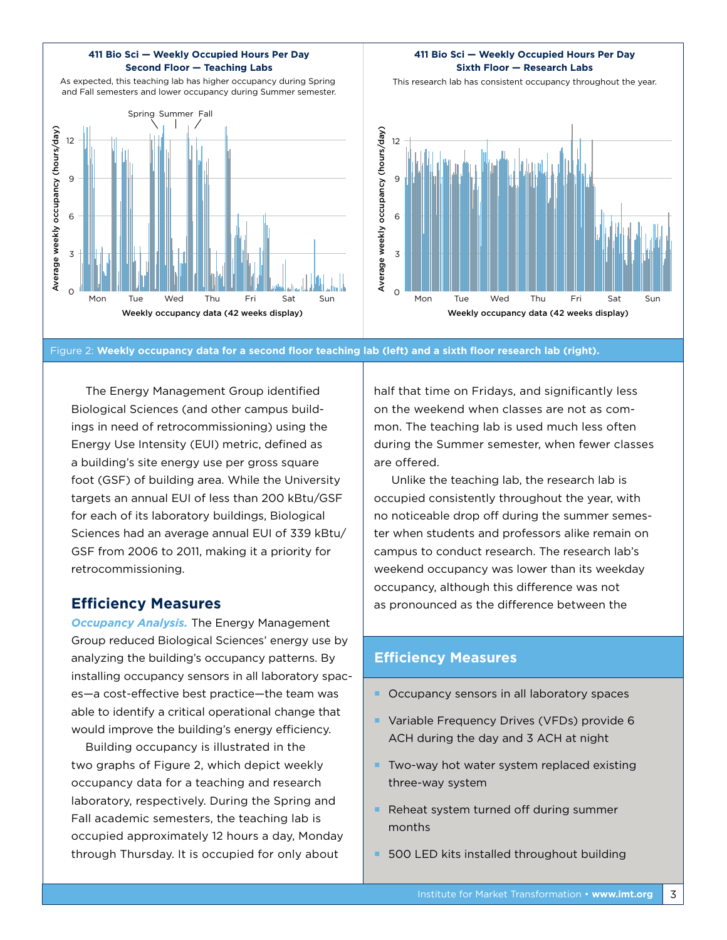#### **411 Bio Sci — Weekly Occupied Hours Per Day Second Floor — Teaching Labs**

As expected, this teaching lab has higher occupancy during Spring and Fall semesters and lower occupancy during Summer semester.



#### **411 Bio Sci — Weekly Occupied Hours Per Day Sixth Floor — Research Labs**

This research lab has consistent occupancy throughout the year.



Figure 2: **Weekly occupancy data for a second floor teaching lab (left) and a sixth floor research lab (right).**

The Energy Management Group identified Biological Sciences (and other campus buildings in need of retrocommissioning) using the Energy Use Intensity (EUI) metric, defined as a building's site energy use per gross square foot (GSF) of building area. While the University targets an annual EUI of less than 200 kBtu/GSF for each of its laboratory buildings, Biological Sciences had an average annual EUI of 339 kBtu/ GSF from 2006 to 2011, making it a priority for retrocommissioning.

#### **Efficiency Measures**

*Occupancy Analysis.* The Energy Management Group reduced Biological Sciences' energy use by analyzing the building's occupancy patterns. By installing occupancy sensors in all laboratory spaces—a cost-effective best practice—the team was able to identify a critical operational change that would improve the building's energy efficiency.

Building occupancy is illustrated in the two graphs of Figure 2, which depict weekly occupancy data for a teaching and research laboratory, respectively. During the Spring and Fall academic semesters, the teaching lab is occupied approximately 12 hours a day, Monday through Thursday. It is occupied for only about

half that time on Fridays, and significantly less on the weekend when classes are not as common. The teaching lab is used much less often during the Summer semester, when fewer classes are offered.

 Unlike the teaching lab, the research lab is occupied consistently throughout the year, with no noticeable drop off during the summer semester when students and professors alike remain on campus to conduct research. The research lab's weekend occupancy was lower than its weekday occupancy, although this difference was not as pronounced as the difference between the

#### **Efficiency Measures**

- Occupancy sensors in all laboratory spaces
- **Variable Frequency Drives (VFDs) provide 6** ACH during the day and 3 ACH at night
- $\blacksquare$  Two-way hot water system replaced existing three-way system
- Reheat system turned off during summer months
- **500 LED kits installed throughout building**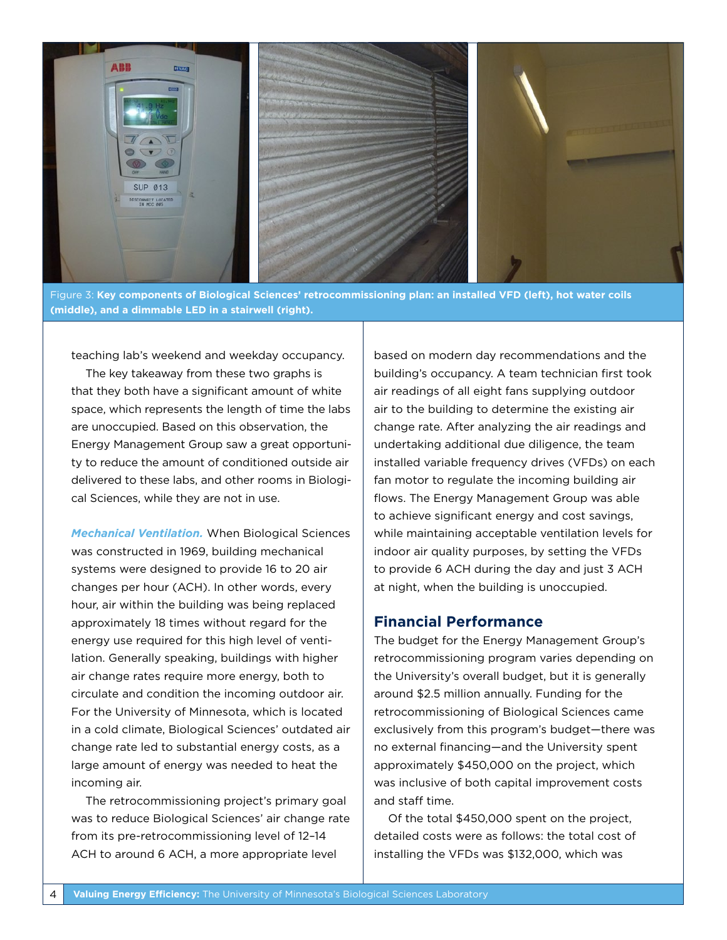

Figure 3: **Key components of Biological Sciences' retrocommissioning plan: an installed VFD (left), hot water coils (middle), and a dimmable LED in a stairwell (right).** 

teaching lab's weekend and weekday occupancy.

The key takeaway from these two graphs is that they both have a significant amount of white space, which represents the length of time the labs are unoccupied. Based on this observation, the Energy Management Group saw a great opportunity to reduce the amount of conditioned outside air delivered to these labs, and other rooms in Biological Sciences, while they are not in use.

*Mechanical Ventilation.* When Biological Sciences was constructed in 1969, building mechanical systems were designed to provide 16 to 20 air changes per hour (ACH). In other words, every hour, air within the building was being replaced approximately 18 times without regard for the energy use required for this high level of ventilation. Generally speaking, buildings with higher air change rates require more energy, both to circulate and condition the incoming outdoor air. For the University of Minnesota, which is located in a cold climate, Biological Sciences' outdated air change rate led to substantial energy costs, as a large amount of energy was needed to heat the incoming air.

The retrocommissioning project's primary goal was to reduce Biological Sciences' air change rate from its pre-retrocommissioning level of 12–14 ACH to around 6 ACH, a more appropriate level

based on modern day recommendations and the building's occupancy. A team technician first took air readings of all eight fans supplying outdoor air to the building to determine the existing air change rate. After analyzing the air readings and undertaking additional due diligence, the team installed variable frequency drives (VFDs) on each fan motor to regulate the incoming building air flows. The Energy Management Group was able to achieve significant energy and cost savings, while maintaining acceptable ventilation levels for indoor air quality purposes, by setting the VFDs to provide 6 ACH during the day and just 3 ACH at night, when the building is unoccupied.

#### **Financial Performance**

The budget for the Energy Management Group's retrocommissioning program varies depending on the University's overall budget, but it is generally around \$2.5 million annually. Funding for the retrocommissioning of Biological Sciences came exclusively from this program's budget—there was no external financing—and the University spent approximately \$450,000 on the project, which was inclusive of both capital improvement costs and staff time.

Of the total \$450,000 spent on the project, detailed costs were as follows: the total cost of installing the VFDs was \$132,000, which was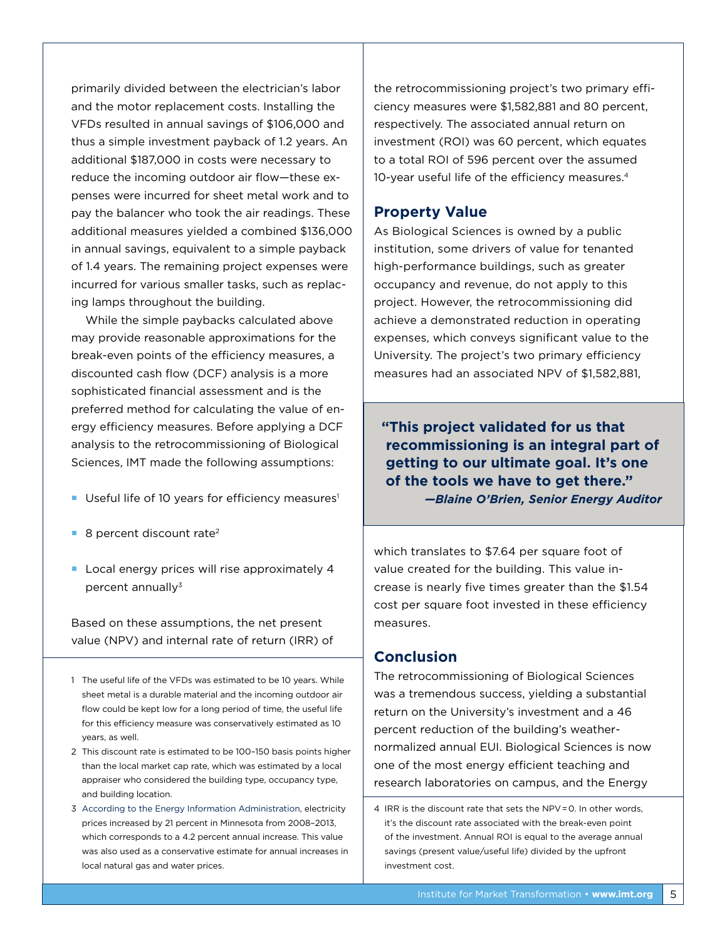primarily divided between the electrician's labor and the motor replacement costs. Installing the VFDs resulted in annual savings of \$106,000 and thus a simple investment payback of 1.2 years. An additional \$187,000 in costs were necessary to reduce the incoming outdoor air flow—these expenses were incurred for sheet metal work and to pay the balancer who took the air readings. These additional measures yielded a combined \$136,000 in annual savings, equivalent to a simple payback of 1.4 years. The remaining project expenses were incurred for various smaller tasks, such as replacing lamps throughout the building.

While the simple paybacks calculated above may provide reasonable approximations for the break-even points of the efficiency measures, a discounted cash flow (DCF) analysis is a more sophisticated financial assessment and is the preferred method for calculating the value of energy efficiency measures. Before applying a DCF analysis to the retrocommissioning of Biological Sciences, IMT made the following assumptions:

- Useful life of 10 years for efficiency measures<sup>1</sup>
- $\blacksquare$  8 percent discount rate<sup>2</sup>
- Local energy prices will rise approximately 4 percent annually<sup>3</sup>

Based on these assumptions, the net present value (NPV) and internal rate of return (IRR) of

- 1 The useful life of the VFDs was estimated to be 10 years. While sheet metal is a durable material and the incoming outdoor air flow could be kept low for a long period of time, the useful life for this efficiency measure was conservatively estimated as 10 years, as well.
- 2 This discount rate is estimated to be 100–150 basis points higher than the local market cap rate, which was estimated by a local appraiser who considered the building type, occupancy type, and building location.
- 3 [According to the Energy Information Administration,](http://www.eia.gov/electricity/data.cfm#sales) electricity prices increased by 21 percent in Minnesota from 2008–2013, which corresponds to a 4.2 percent annual increase. This value was also used as a conservative estimate for annual increases in local natural gas and water prices.

the retrocommissioning project's two primary efficiency measures were \$1,582,881 and 80 percent, respectively. The associated annual return on investment (ROI) was 60 percent, which equates to a total ROI of 596 percent over the assumed 10-year useful life of the efficiency measures.4

#### **Property Value**

As Biological Sciences is owned by a public institution, some drivers of value for tenanted high-performance buildings, such as greater occupancy and revenue, do not apply to this project. However, the retrocommissioning did achieve a demonstrated reduction in operating expenses, which conveys significant value to the University. The project's two primary efficiency measures had an associated NPV of \$1,582,881,

**"This project validated for us that recommissioning is an integral part of getting to our ultimate goal. It's one of the tools we have to get there."** *—Blaine O'Brien, Senior Energy Auditor*

which translates to \$7.64 per square foot of value created for the building. This value increase is nearly five times greater than the \$1.54 cost per square foot invested in these efficiency measures.

#### **Conclusion**

The retrocommissioning of Biological Sciences was a tremendous success, yielding a substantial return on the University's investment and a 46 percent reduction of the building's weathernormalized annual EUI. Biological Sciences is now one of the most energy efficient teaching and research laboratories on campus, and the Energy

<sup>4</sup> IRR is the discount rate that sets the NPV = 0. In other words, it's the discount rate associated with the break-even point of the investment. Annual ROI is equal to the average annual savings (present value/useful life) divided by the upfront investment cost.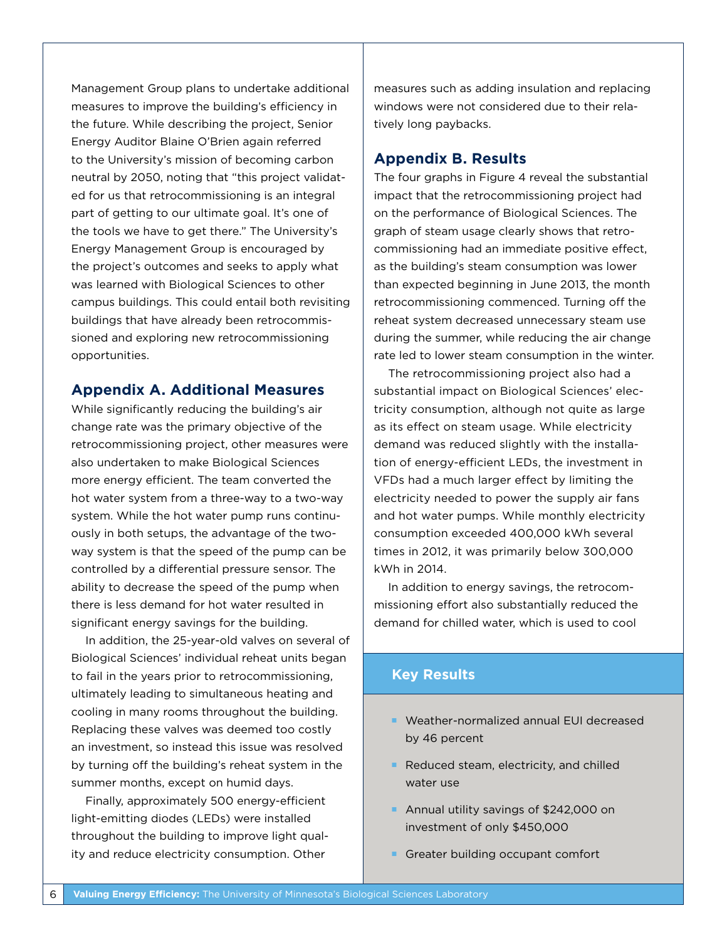Management Group plans to undertake additional measures to improve the building's efficiency in the future. While describing the project, Senior Energy Auditor Blaine O'Brien again referred to the University's mission of becoming carbon neutral by 2050, noting that "this project validated for us that retrocommissioning is an integral part of getting to our ultimate goal. It's one of the tools we have to get there." The University's Energy Management Group is encouraged by the project's outcomes and seeks to apply what was learned with Biological Sciences to other campus buildings. This could entail both revisiting buildings that have already been retrocommissioned and exploring new retrocommissioning opportunities.

#### **Appendix A. Additional Measures**

While significantly reducing the building's air change rate was the primary objective of the retrocommissioning project, other measures were also undertaken to make Biological Sciences more energy efficient. The team converted the hot water system from a three-way to a two-way system. While the hot water pump runs continuously in both setups, the advantage of the twoway system is that the speed of the pump can be controlled by a differential pressure sensor. The ability to decrease the speed of the pump when there is less demand for hot water resulted in significant energy savings for the building.

In addition, the 25-year-old valves on several of Biological Sciences' individual reheat units began to fail in the years prior to retrocommissioning, ultimately leading to simultaneous heating and cooling in many rooms throughout the building. Replacing these valves was deemed too costly an investment, so instead this issue was resolved by turning off the building's reheat system in the summer months, except on humid days.

Finally, approximately 500 energy-efficient light-emitting diodes (LEDs) were installed throughout the building to improve light quality and reduce electricity consumption. Other

measures such as adding insulation and replacing windows were not considered due to their relatively long paybacks.

#### **Appendix B. Results**

The four graphs in Figure 4 reveal the substantial impact that the retrocommissioning project had on the performance of Biological Sciences. The graph of steam usage clearly shows that retrocommissioning had an immediate positive effect, as the building's steam consumption was lower than expected beginning in June 2013, the month retrocommissioning commenced. Turning off the reheat system decreased unnecessary steam use during the summer, while reducing the air change rate led to lower steam consumption in the winter.

The retrocommissioning project also had a substantial impact on Biological Sciences' electricity consumption, although not quite as large as its effect on steam usage. While electricity demand was reduced slightly with the installation of energy-efficient LEDs, the investment in VFDs had a much larger effect by limiting the electricity needed to power the supply air fans and hot water pumps. While monthly electricity consumption exceeded 400,000 kWh several times in 2012, it was primarily below 300,000 kWh in 2014.

In addition to energy savings, the retrocommissioning effort also substantially reduced the demand for chilled water, which is used to cool

#### **Key Results**

- Weather-normalized annual EUI decreased by 46 percent
- Reduced steam, electricity, and chilled water use
- Annual utility savings of \$242,000 on investment of only \$450,000
- Greater building occupant comfort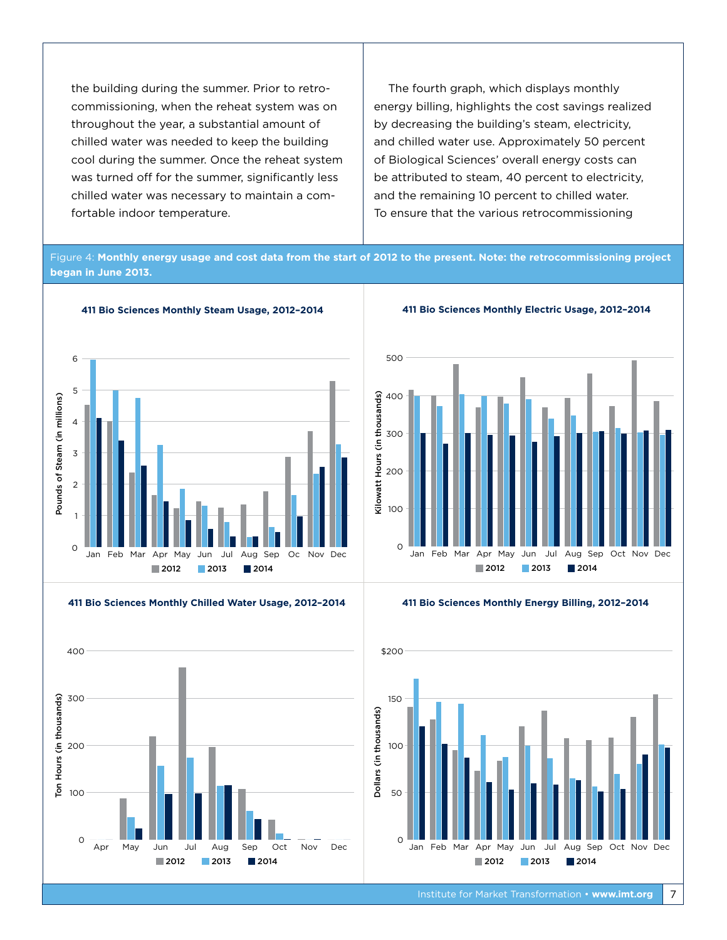the building during the summer. Prior to retrocommissioning, when the reheat system was on throughout the year, a substantial amount of chilled water was needed to keep the building cool during the summer. Once the reheat system was turned off for the summer, significantly less chilled water was necessary to maintain a comfortable indoor temperature.

The fourth graph, which displays monthly energy billing, highlights the cost savings realized by decreasing the building's steam, electricity, and chilled water use. Approximately 50 percent of Biological Sciences' overall energy costs can be attributed to steam, 40 percent to electricity, and the remaining 10 percent to chilled water. To ensure that the various retrocommissioning

Figure 4: **Monthly energy usage and cost data from the start of 2012 to the present. Note: the retrocommissioning project began in June 2013.** 



**411 Bio Sciences Monthly Chilled Water Usage, 2012–2014**



**411 Bio Sciences Monthly Electric Usage, 2012–2014**





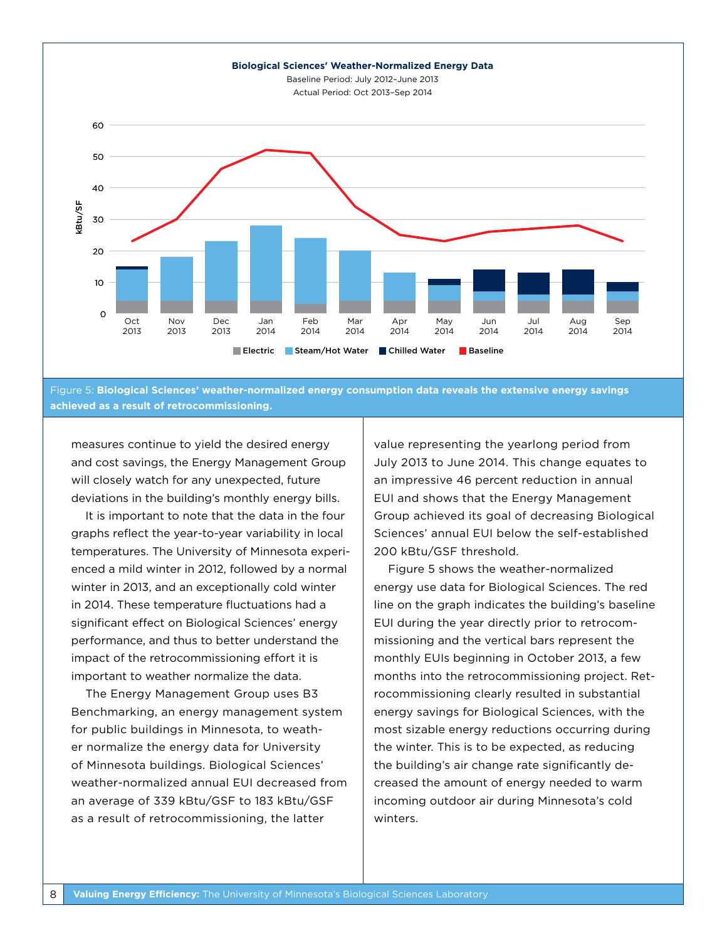

Figure 5: **Biological Sciences' weather-normalized energy consumption data reveals the extensive energy savings achieved as a result of retrocommissioning.**

measures continue to yield the desired energy and cost savings, the Energy Management Group will closely watch for any unexpected, future deviations in the building's monthly energy bills.

It is important to note that the data in the four graphs reflect the year-to-year variability in local temperatures. The University of Minnesota experienced a mild winter in 2012, followed by a normal winter in 2013, and an exceptionally cold winter in 2014. These temperature fluctuations had a significant effect on Biological Sciences' energy performance, and thus to better understand the impact of the retrocommissioning effort it is important to weather normalize the data.

The Energy Management Group uses B3 Benchmarking, an energy management system for public buildings in Minnesota, to weather normalize the energy data for University of Minnesota buildings. Biological Sciences' weather-normalized annual EUI decreased from an average of 339 kBtu/GSF to 183 kBtu/GSF as a result of retrocommissioning, the latter

value representing the yearlong period from July 2013 to June 2014. This change equates to an impressive 46 percent reduction in annual EUI and shows that the Energy Management Group achieved its goal of decreasing Biological Sciences' annual EUI below the self-established 200 kBtu/GSF threshold.

Figure 5 shows the weather-normalized energy use data for Biological Sciences. The red line on the graph indicates the building's baseline EUI during the year directly prior to retrocommissioning and the vertical bars represent the monthly EUIs beginning in October 2013, a few months into the retrocommissioning project. Retrocommissioning clearly resulted in substantial energy savings for Biological Sciences, with the most sizable energy reductions occurring during the winter. This is to be expected, as reducing the building's air change rate significantly decreased the amount of energy needed to warm incoming outdoor air during Minnesota's cold winters.